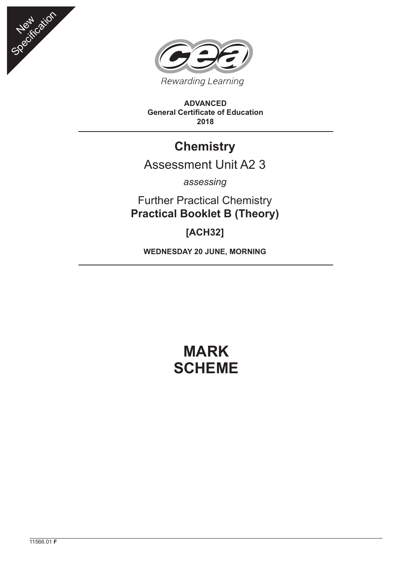



**ADVANCED General Certificate of Education 2018**

## **Chemistry**

## Assessment Unit A2 3

*assessing*

Further Practical Chemistry **Practical Booklet B (Theory)**

**[ACH32]**

**WEDNESDAY 20 JUNE, MORNING**

## **MARK SCHEME**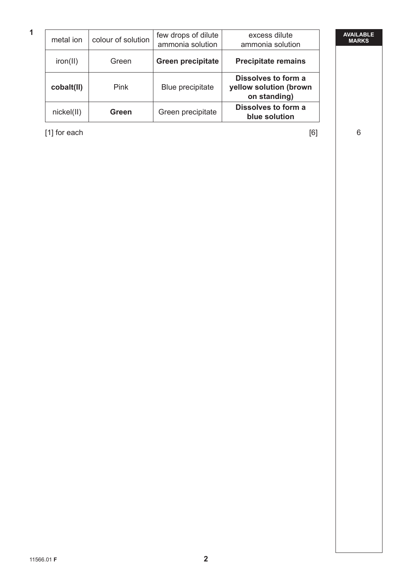## **AVAILABLE MARKS**

| metal ion  | colour of solution | few drops of dilute<br>ammonia solution | excess dilute<br>ammonia solution                             |
|------------|--------------------|-----------------------------------------|---------------------------------------------------------------|
| iron(II)   | Green              | <b>Green precipitate</b>                | <b>Precipitate remains</b>                                    |
| cobalt(II) | Pink               | Blue precipitate                        | Dissolves to form a<br>yellow solution (brown<br>on standing) |
| nickel(II) | Green              | Green precipitate                       | Dissolves to form a<br>blue solution                          |

 $[1]$  for each  $[6]$  6

**1**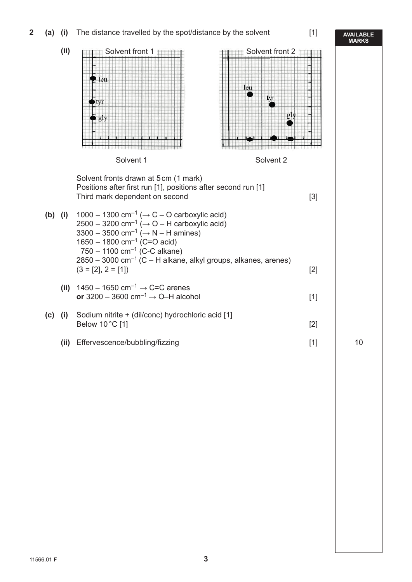**2** (a) (i) The distance travelled by the spot/distance by the solvent [1]

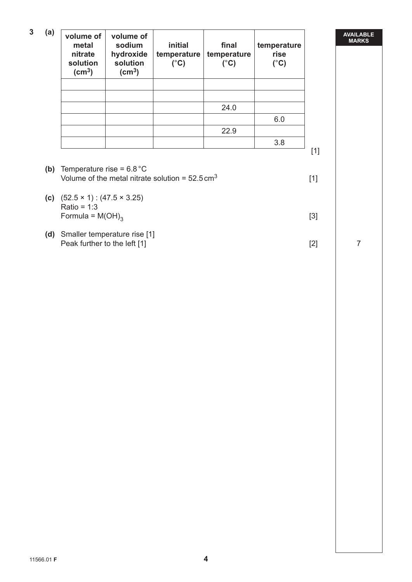| 3<br>(a) | volume of<br>metal<br>nitrate<br>solution<br>$\text{(cm}^3\text{)}$ | volume of<br>sodium<br>hydroxide<br>solution<br>$\text{(cm}^3\text{)}$ | initial<br>temperature<br>$(^{\circ}C)$ | final<br>temperature<br>$(^{\circ}C)$ | temperature<br>rise<br>$(^{\circ}C)$ |
|----------|---------------------------------------------------------------------|------------------------------------------------------------------------|-----------------------------------------|---------------------------------------|--------------------------------------|
|          |                                                                     |                                                                        |                                         |                                       |                                      |
|          |                                                                     |                                                                        |                                         |                                       |                                      |
|          |                                                                     |                                                                        |                                         | 24.0                                  |                                      |
|          |                                                                     |                                                                        |                                         |                                       | 6.0                                  |
|          |                                                                     |                                                                        |                                         | 22.9                                  |                                      |
|          |                                                                     |                                                                        |                                         |                                       | 3.8                                  |
|          |                                                                     |                                                                        |                                         |                                       |                                      |

- 
- **(b)** Temperature rise = 6.8 °C Volume of the metal nitrate solution =  $52.5 \text{ cm}^3$  [1]
- **(c)** (52.5 × 1) : (47.5 × 3.25) Ratio =  $1:3$ Formula =  $M(OH)_{3}$  [3]
- **(d)** Smaller temperature rise [1] Peak further to the left [1] [2] 7

**AVAILABLE MARKS**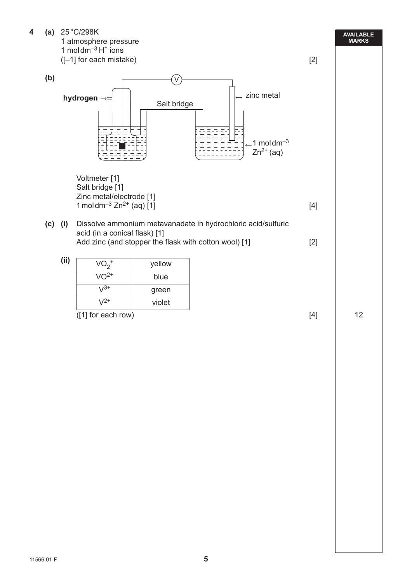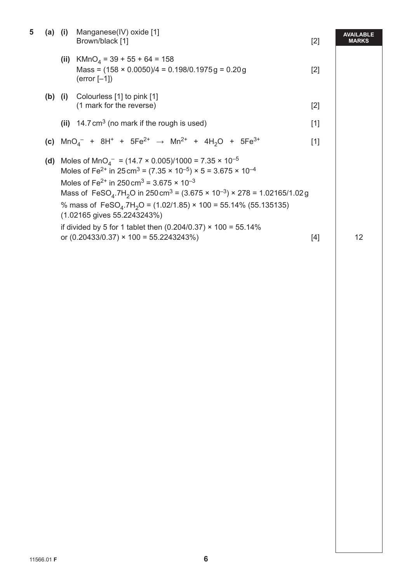|                                        | (ii) $KMnO4 = 39 + 55 + 64 = 158$<br>Mass = $(158 \times 0.0050)/4 = 0.198/0.1975g = 0.20g$                                                                                                                                                                                                                                                                                                                                                                                                                                                                                                               | $[2]$ |    |  |
|----------------------------------------|-----------------------------------------------------------------------------------------------------------------------------------------------------------------------------------------------------------------------------------------------------------------------------------------------------------------------------------------------------------------------------------------------------------------------------------------------------------------------------------------------------------------------------------------------------------------------------------------------------------|-------|----|--|
| $(error [-1])$                         |                                                                                                                                                                                                                                                                                                                                                                                                                                                                                                                                                                                                           |       |    |  |
| (b) (i) Colourless $[1]$ to pink $[1]$ | (1 mark for the reverse)                                                                                                                                                                                                                                                                                                                                                                                                                                                                                                                                                                                  | $[2]$ |    |  |
|                                        | (ii) $14.7 \text{ cm}^3$ (no mark if the rough is used)                                                                                                                                                                                                                                                                                                                                                                                                                                                                                                                                                   | $[1]$ |    |  |
|                                        | (c) $MnOa- + 8H+ + 5Fe2+ \rightarrow Mn2+ + 4H2O + 5Fe3+$                                                                                                                                                                                                                                                                                                                                                                                                                                                                                                                                                 | $[1]$ |    |  |
| (d)                                    | Moles of MnO <sub>4</sub> <sup>-</sup> = (14.7 × 0.005)/1000 = 7.35 × 10 <sup>-5</sup><br>Moles of Fe <sup>2+</sup> in 25 cm <sup>3</sup> = $(7.35 \times 10^{-5}) \times 5 = 3.675 \times 10^{-4}$<br>Moles of Fe <sup>2+</sup> in 250 cm <sup>3</sup> = 3.675 $\times$ 10 <sup>-3</sup><br>Mass of FeSO <sub>4</sub> .7H <sub>2</sub> O in 250 cm <sup>3</sup> = $(3.675 \times 10^{-3}) \times 278 = 1.02165/1.02g$<br>% mass of $FeSO_4.7H_2O = (1.02/1.85) \times 100 = 55.14\%$ (55.135135)<br>(1.02165 gives 55.2243243%)<br>if divided by 5 for 1 tablet then $(0.204/0.37) \times 100 = 55.14\%$ |       |    |  |
|                                        | or $(0.20433/0.37) \times 100 = 55.2243243\%)$                                                                                                                                                                                                                                                                                                                                                                                                                                                                                                                                                            | $[4]$ | 12 |  |